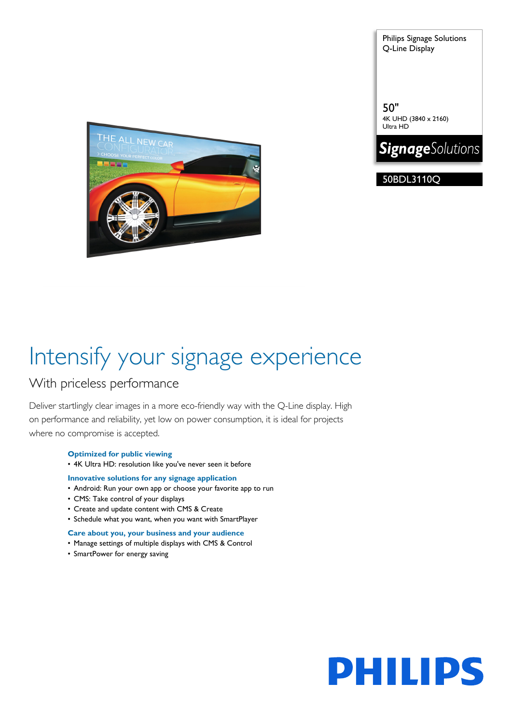Philips Signage Solutions Q-Line Display

50" 4K UHD (3840 x 2160) Ultra HD



50BDL3110Q



# Intensify your signage experience

### With priceless performance

Deliver startlingly clear images in a more eco-friendly way with the Q-Line display. High on performance and reliability, yet low on power consumption, it is ideal for projects where no compromise is accepted.

### **Optimized for public viewing**

• 4K Ultra HD: resolution like you've never seen it before

#### **Innovative solutions for any signage application**

- Android: Run your own app or choose your favorite app to run
- CMS: Take control of your displays
- Create and update content with CMS & Create
- Schedule what you want, when you want with SmartPlayer

#### **Care about you, your business and your audience**

- Manage settings of multiple displays with CMS & Control
- SmartPower for energy saving